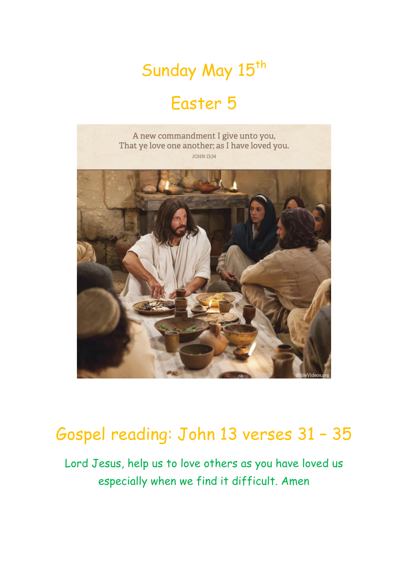## Sunday May 15<sup>th</sup>

### Easter 5



### Gospel reading: John 13 verses 31 – 35

Lord Jesus, help us to love others as you have loved us especially when we find it difficult. Amen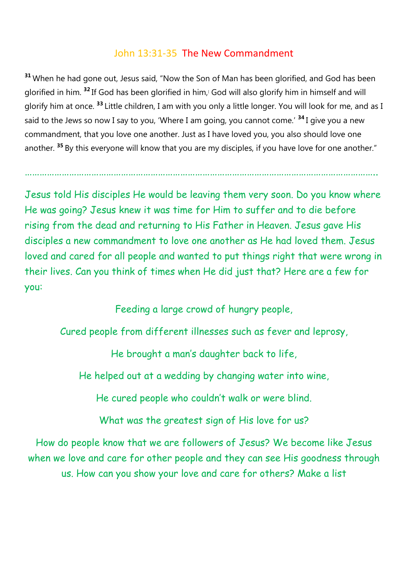#### John 13:31-35 The New Commandment

**<sup>31</sup>** When he had gone out, Jesus said, "Now the Son of Man has been glorified, and God has been glorified in him. <sup>32</sup> If God has been glorified in him,<sup>[</sup> God will also glorify him in himself and will glorify him at once. **<sup>33</sup>** Little children, I am with you only a little longer. You will look for me, and as I said to the Jews so now I say to you, 'Where I am going, you cannot come.' **<sup>34</sup>** I give you a new commandment, that you love one another. Just as I have loved you, you also should love one another. **<sup>35</sup>** By this everyone will know that you are my disciples, if you have love for one another."

……………………………………………………………………………………………………………………………..

Jesus told His disciples He would be leaving them very soon. Do you know where He was going? Jesus knew it was time for Him to suffer and to die before rising from the dead and returning to His Father in Heaven. Jesus gave His disciples a new commandment to love one another as He had loved them. Jesus loved and cared for all people and wanted to put things right that were wrong in their lives. Can you think of times when He did just that? Here are a few for you:

Feeding a large crowd of hungry people,

Cured people from different illnesses such as fever and leprosy,

He brought a man's daughter back to life,

He helped out at a wedding by changing water into wine,

He cured people who couldn't walk or were blind.

What was the greatest sign of His love for us?

How do people know that we are followers of Jesus? We become like Jesus when we love and care for other people and they can see His goodness through us. How can you show your love and care for others? Make a list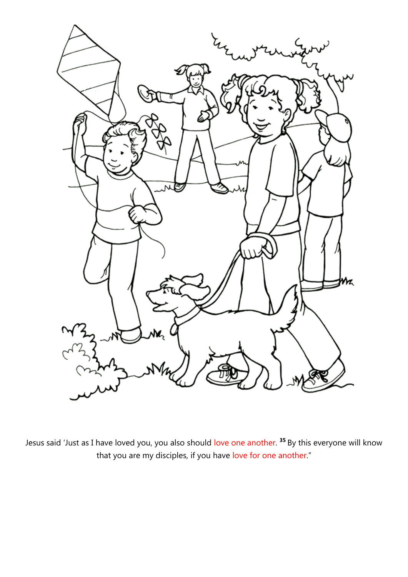

Jesus said 'Just as I have loved you, you also should love one another. **<sup>35</sup>** By this everyone will know that you are my disciples, if you have love for one another."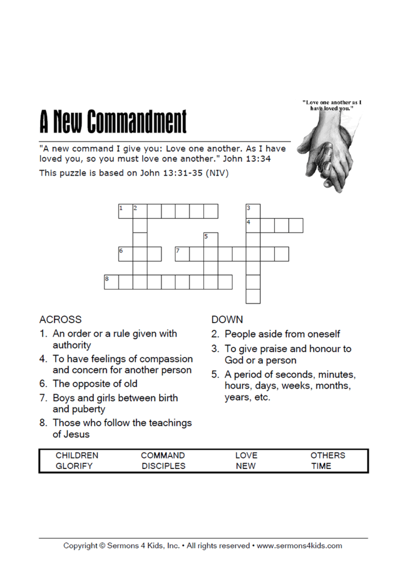## **A New Commandment**

"A new command I give you: Love one another. As I have loved you, so you must love one another." John 13:34

This puzzle is based on John 13:31-35 (NIV)





### **ACROSS**

- 1. An order or a rule given with authority
- 4. To have feelings of compassion and concern for another person
- 6. The opposite of old
- 7. Boys and girls between birth and puberty
- 8. Those who follow the teachings of Jesus

#### **DOWN**

- 2. People aside from oneself
- 3. To give praise and honour to God or a person
- 5. A period of seconds, minutes, hours, days, weeks, months, years, etc.

| <b>CHILDREN</b> | COMMAND          | OVP | <b>HERS</b> |
|-----------------|------------------|-----|-------------|
|                 | <b>DISCIPLES</b> | NEW | TIME        |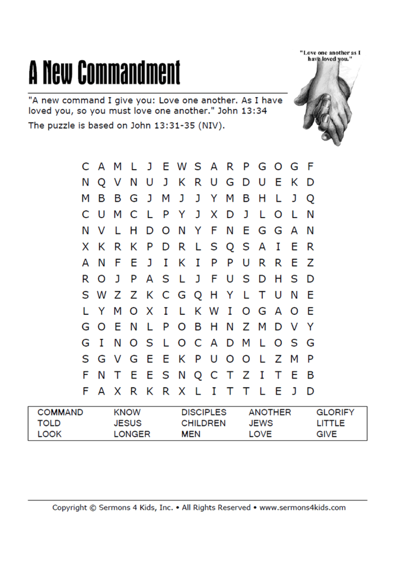# **A New Commandment**

"A new command I give you: Love one another. As I have loved you, so you must love one another." John 13:34 The puzzle is based on John 13:31-35 (NIV).



"Love one another as I have loved you.'

| <b>COMMAND</b> | <b>KNOW</b> | <b>DISCIPLES</b> | ANOTHER     | <b>GLORIFY</b> |
|----------------|-------------|------------------|-------------|----------------|
| TOLD           | JESUS       | <b>CHILDREN</b>  | <b>JEWS</b> | LITTLE         |
| <b>LOOK</b>    | LONGER      | MEN              | LOVE        | GIVE           |